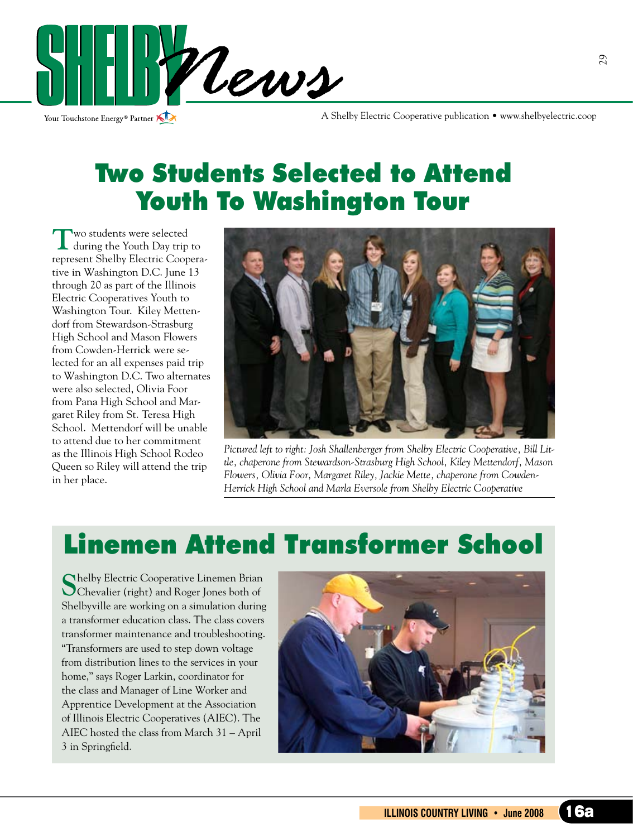

Your Touchstone Energy® Partner

A Shelby Electric Cooperative publication • www.shelbyelectric.coop

### Two Students Selected to Attend Youth To Washington Tour

**T**wo students were selected during the Youth Day trip to represent Shelby Electric Cooperative in Washington D.C. June 13 through 20 as part of the Illinois Electric Cooperatives Youth to Washington Tour. Kiley Mettendorf from Stewardson-Strasburg High School and Mason Flowers from Cowden-Herrick were selected for an all expenses paid trip to Washington D.C. Two alternates were also selected, Olivia Foor from Pana High School and Margaret Riley from St. Teresa High School. Mettendorf will be unable to attend due to her commitment as the Illinois High School Rodeo Queen so Riley will attend the trip in her place.



*Pictured left to right: Josh Shallenberger from Shelby Electric Cooperative, Bill Little, chaperone from Stewardson-Strasburg High School, Kiley Mettendorf, Mason Flowers, Olivia Foor, Margaret Riley, Jackie Mette, chaperone from Cowden-Herrick High School and Marla Eversole from Shelby Electric Cooperative*

# Linemen Attend Transformer School

**S**helby Electric Cooperative Linemen Brian Chevalier (right) and Roger Jones both of Shelbyville are working on a simulation during a transformer education class. The class covers transformer maintenance and troubleshooting. "Transformers are used to step down voltage from distribution lines to the services in your home," says Roger Larkin, coordinator for the class and Manager of Line Worker and Apprentice Development at the Association of Illinois Electric Cooperatives (AIEC). The AIEC hosted the class from March 31 – April 3 in Springfield.

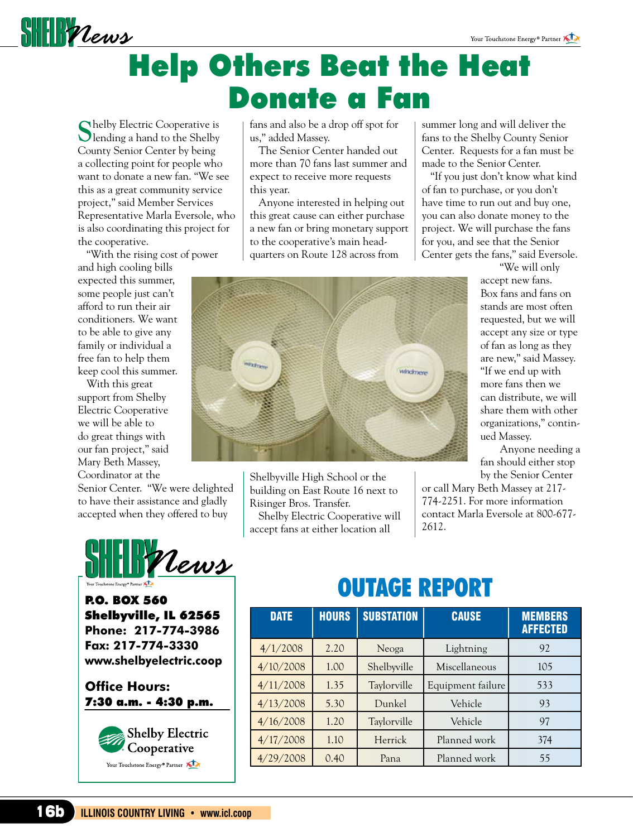

# Help Others Beat the Heat Donate a Fan

**S**helby Electric Cooperative is **Olending a hand to the Shelby** County Senior Center by being a collecting point for people who want to donate a new fan. "We see this as a great community service project," said Member Services Representative Marla Eversole, who is also coordinating this project for the cooperative.

"With the rising cost of power

and high cooling bills expected this summer, some people just can't afford to run their air conditioners. We want to be able to give any family or individual a free fan to help them keep cool this summer.

With this great support from Shelby Electric Cooperative we will be able to do great things with our fan project," said Mary Beth Massey, Coordinator at the

Senior Center. "We were delighted to have their assistance and gladly accepted when they offered to buy



P.O. BOX 560 Shelbyville, IL 62565 **Phone: 217-774-3986 Fax: 217-774-3330 www.shelbyelectric.coop**

**Office Hours:**  7:30 a.m. - 4:30 p.m.



fans and also be a drop off spot for us," added Massey.

The Senior Center handed out more than 70 fans last summer and expect to receive more requests this year.

Anyone interested in helping out this great cause can either purchase a new fan or bring monetary support to the cooperative's main headquarters on Route 128 across from

Shelbyville High School or the building on East Route 16 next to

Shelby Electric Cooperative will accept fans at either location all

Risinger Bros. Transfer.

**HESS** 

summer long and will deliver the fans to the Shelby County Senior Center. Requests for a fan must be made to the Senior Center.

"If you just don't know what kind of fan to purchase, or you don't have time to run out and buy one, you can also donate money to the project. We will purchase the fans for you, and see that the Senior Center gets the fans," said Eversole.

> "We will only accept new fans. Box fans and fans on stands are most often requested, but we will accept any size or type of fan as long as they are new," said Massey. "If we end up with more fans then we can distribute, we will share them with other organizations," continued Massey.

Anyone needing a fan should either stop by the Senior Center

or call Mary Beth Massey at 217- 774-2251. For more information contact Marla Eversole at 800-677- 2612.

# OUTAGE REPORT

windmere

| <b>DATE</b> | <b>HOURS</b> | <b>SUBSTATION</b> | <b>CAUSE</b>      | <b>MEMBERS</b><br><b>AFFECTED</b> |
|-------------|--------------|-------------------|-------------------|-----------------------------------|
| 4/1/2008    | 2.20         | Neoga             | Lightning         | 92                                |
| 4/10/2008   | 1.00         | Shelbyville       | Miscellaneous     | 105                               |
| 4/11/2008   | 1.35         | Taylorville       | Equipment failure | 533                               |
| 4/13/2008   | 5.30         | Dunkel            | Vehicle           | 93                                |
| 4/16/2008   | 1.20         | Taylorville       | Vehicle           | 97                                |
| 4/17/2008   | 1.10         | Herrick           | Planned work      | 374                               |
| 4/29/2008   | 0.40         | Pana              | Planned work      | 55                                |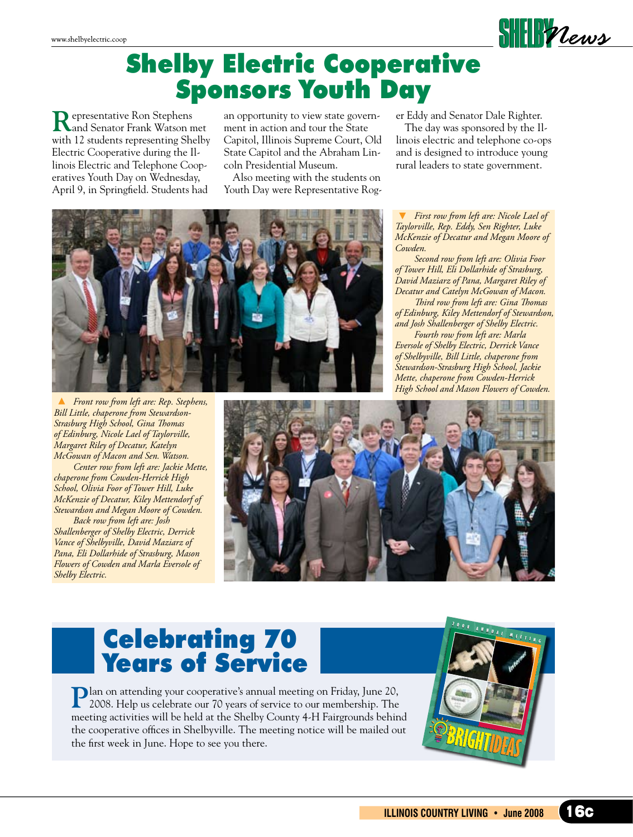

#### Shelby Electric Cooperative Sponsors Youth Day

**R**epresentative Ron Stephens and Senator Frank Watson met with 12 students representing Shelby Electric Cooperative during the Illinois Electric and Telephone Cooperatives Youth Day on Wednesday, April 9, in Springfield. Students had

an opportunity to view state government in action and tour the State Capitol, Illinois Supreme Court, Old State Capitol and the Abraham Lincoln Presidential Museum.

Also meeting with the students on Youth Day were Representative Roger Eddy and Senator Dale Righter.

The day was sponsored by the Illinois electric and telephone co-ops and is designed to introduce young rural leaders to state government.

 *First row from left are: Nicole Lael of Taylorville, Rep. Eddy, Sen Righter, Luke McKenzie of Decatur and Megan Moore of Cowden.*

 *Second row from left are: Olivia Foor of Tower Hill, Eli Dollarhide of Strasburg, David Maziarz of Pana, Margaret Riley of Decatur and Catelyn McGowan of Macon. Third row from left are: Gina Thomas*

*of Edinburg, Kiley Mettendorf of Stewardson, and Josh Shallenberger of Shelby Electric.*

 *Fourth row from left are: Marla Eversole of Shelby Electric, Derrick Vance of Shelbyville, Bill Little, chaperone from Stewardson-Strasburg High School, Jackie Mette, chaperone from Cowden-Herrick High School and Mason Flowers of Cowden.*



 *Front row from left are: Rep. Stephens, Bill Little, chaperone from Stewardson-Strasburg High School, Gina Thomas of Edinburg, Nicole Lael of Taylorville, Margaret Riley of Decatur, Katelyn McGowan of Macon and Sen. Watson.* 

 *Center row from left are: Jackie Mette, chaperone from Cowden-Herrick High School, Olivia Foor of Tower Hill, Luke McKenzie of Decatur, Kiley Mettendorf of Stewardson and Megan Moore of Cowden.*

 *Back row from left are: Josh Shallenberger of Shelby Electric, Derrick Vance of Shelbyville, David Maziarz of Pana, Eli Dollarhide of Strasburg, Mason Flowers of Cowden and Marla Eversole of Shelby Electric.*



#### Celebrating 70 Years of Service

Plan on attending your cooperative's annual meeting on Friday, June 20, 2008. Help us celebrate our 70 years of service to our membership. The meeting activities will be held at the Shelby County 4-H Fairgrounds behind the cooperative offices in Shelbyville. The meeting notice will be mailed out the first week in June. Hope to see you there.